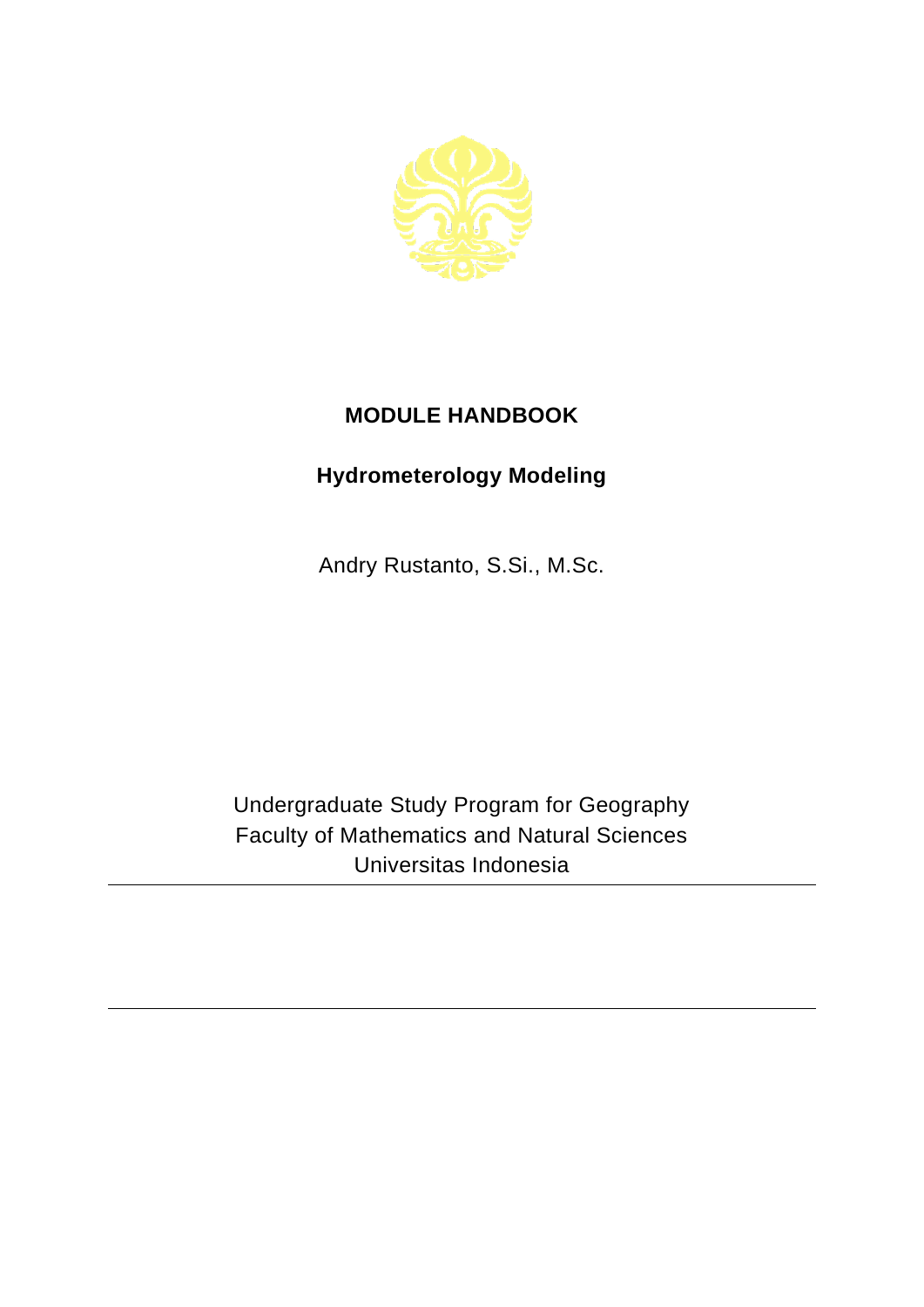

## **MODULE HANDBOOK**

## **Hydrometerology Modeling**

Andry Rustanto, S.Si., M.Sc.

Undergraduate Study Program for Geography Faculty of Mathematics and Natural Sciences Universitas Indonesia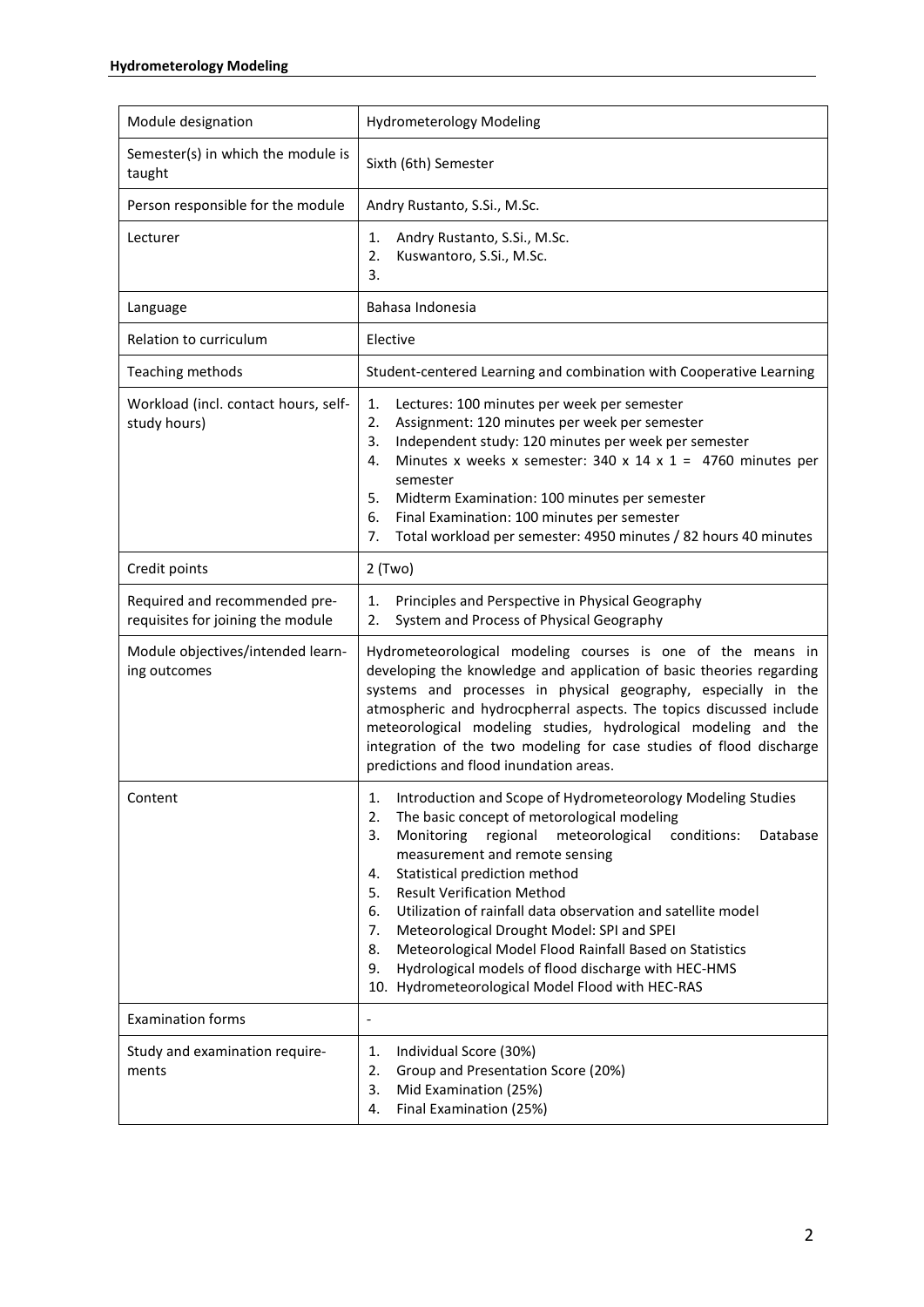| Module designation                                                 | <b>Hydrometerology Modeling</b>                                                                                                                                                                                                                                                                                                                                                                                                                                                                                                                                                                                                     |
|--------------------------------------------------------------------|-------------------------------------------------------------------------------------------------------------------------------------------------------------------------------------------------------------------------------------------------------------------------------------------------------------------------------------------------------------------------------------------------------------------------------------------------------------------------------------------------------------------------------------------------------------------------------------------------------------------------------------|
| Semester(s) in which the module is<br>taught                       | Sixth (6th) Semester                                                                                                                                                                                                                                                                                                                                                                                                                                                                                                                                                                                                                |
| Person responsible for the module                                  | Andry Rustanto, S.Si., M.Sc.                                                                                                                                                                                                                                                                                                                                                                                                                                                                                                                                                                                                        |
| Lecturer                                                           | Andry Rustanto, S.Si., M.Sc.<br>1.<br>Kuswantoro, S.Si., M.Sc.<br>2.<br>3.                                                                                                                                                                                                                                                                                                                                                                                                                                                                                                                                                          |
| Language                                                           | Bahasa Indonesia                                                                                                                                                                                                                                                                                                                                                                                                                                                                                                                                                                                                                    |
| Relation to curriculum                                             | Elective                                                                                                                                                                                                                                                                                                                                                                                                                                                                                                                                                                                                                            |
| Teaching methods                                                   | Student-centered Learning and combination with Cooperative Learning                                                                                                                                                                                                                                                                                                                                                                                                                                                                                                                                                                 |
| Workload (incl. contact hours, self-<br>study hours)               | 1.<br>Lectures: 100 minutes per week per semester<br>2.<br>Assignment: 120 minutes per week per semester<br>Independent study: 120 minutes per week per semester<br>3.<br>Minutes x weeks x semester: 340 x 14 x 1 = 4760 minutes per<br>4.<br>semester<br>5.<br>Midterm Examination: 100 minutes per semester<br>Final Examination: 100 minutes per semester<br>6.<br>Total workload per semester: 4950 minutes / 82 hours 40 minutes<br>7.                                                                                                                                                                                        |
| Credit points                                                      | $2$ (Two)                                                                                                                                                                                                                                                                                                                                                                                                                                                                                                                                                                                                                           |
| Required and recommended pre-<br>requisites for joining the module | Principles and Perspective in Physical Geography<br>1.<br>System and Process of Physical Geography<br>2.                                                                                                                                                                                                                                                                                                                                                                                                                                                                                                                            |
| Module objectives/intended learn-<br>ing outcomes                  | Hydrometeorological modeling courses is one of the means in<br>developing the knowledge and application of basic theories regarding<br>systems and processes in physical geography, especially in the<br>atmospheric and hydrocpherral aspects. The topics discussed include<br>meteorological modeling studies, hydrological modeling and the<br>integration of the two modeling for case studies of flood discharge<br>predictions and flood inundation areas.                                                                                                                                                                    |
| Content                                                            | Introduction and Scope of Hydrometeorology Modeling Studies<br>1.<br>The basic concept of metorological modeling<br>2.<br>Monitoring<br>regional<br>meteorological<br>conditions:<br>Database<br>3.<br>measurement and remote sensing<br>Statistical prediction method<br>4.<br><b>Result Verification Method</b><br>5.<br>Utilization of rainfall data observation and satellite model<br>6.<br>Meteorological Drought Model: SPI and SPEI<br>7.<br>Meteorological Model Flood Rainfall Based on Statistics<br>8.<br>Hydrological models of flood discharge with HEC-HMS<br>9.<br>10. Hydrometeorological Model Flood with HEC-RAS |
| <b>Examination forms</b>                                           | ٠                                                                                                                                                                                                                                                                                                                                                                                                                                                                                                                                                                                                                                   |
| Study and examination require-<br>ments                            | Individual Score (30%)<br>1.<br>Group and Presentation Score (20%)<br>2.<br>Mid Examination (25%)<br>3.<br>Final Examination (25%)<br>4.                                                                                                                                                                                                                                                                                                                                                                                                                                                                                            |